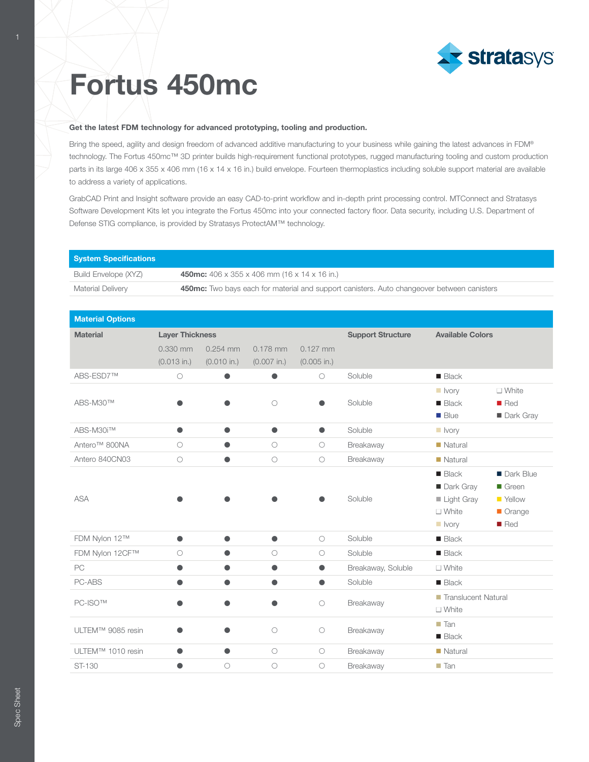

## Fortus 450mc

## Get the latest FDM technology for advanced prototyping, tooling and production.

Bring the speed, agility and design freedom of advanced additive manufacturing to your business while gaining the latest advances in FDM® technology. The Fortus 450mc™ 3D printer builds high-requirement functional prototypes, rugged manufacturing tooling and custom production parts in its large 406 x 355 x 406 mm (16 x 14 x 16 in.) build envelope. Fourteen thermoplastics including soluble support material are available to address a variety of applications.

GrabCAD Print and Insight software provide an easy CAD-to-print workflow and in-depth print processing control. MTConnect and Stratasys Software Development Kits let you integrate the Fortus 450mc into your connected factory floor. Data security, including U.S. Department of Defense STIG compliance, is provided by Stratasys ProtectAM™ technology.

| <b>System Specifications</b> |                                                                                            |               |               |                     |                          |                         |                      |
|------------------------------|--------------------------------------------------------------------------------------------|---------------|---------------|---------------------|--------------------------|-------------------------|----------------------|
| Build Envelope (XYZ)         | 450mc: 406 x 355 x 406 mm (16 x 14 x 16 in.)                                               |               |               |                     |                          |                         |                      |
| Material Delivery            | 450mc: Two bays each for material and support canisters. Auto changeover between canisters |               |               |                     |                          |                         |                      |
|                              |                                                                                            |               |               |                     |                          |                         |                      |
| <b>Material Options</b>      |                                                                                            |               |               |                     |                          |                         |                      |
| <b>Material</b>              | <b>Layer Thickness</b>                                                                     |               |               |                     | <b>Support Structure</b> | <b>Available Colors</b> |                      |
|                              | 0.330 mm                                                                                   | $0.254$ mm    | $0.178$ mm    | $0.127$ mm          |                          |                         |                      |
|                              | $(0.013$ in.)                                                                              | $(0.010$ in.) | $(0.007$ in.) | $(0.005$ in.)       |                          |                         |                      |
| ABS-ESD7™                    | $\bigcirc$                                                                                 | $\bullet$     | $\bullet$     | $\circlearrowright$ | Soluble                  | $\blacksquare$ Black    |                      |
| ABS-M30™                     |                                                                                            |               |               |                     |                          | $\blacksquare$ Ivory    | $\Box$ White         |
|                              |                                                                                            |               | $\bigcirc$    | Δ                   | Soluble                  | $\blacksquare$ Black    | $\blacksquare$ Red   |
|                              |                                                                                            |               |               |                     |                          | <b>Blue</b>             | Dark Gray            |
| ABS-M30i™                    | $\bullet$                                                                                  | O             | $\bullet$     | $\bullet$           | Soluble                  | $\blacksquare$ Ivory    |                      |
| Antero <sup>™</sup> 800NA    | $\bigcirc$                                                                                 |               | $\bigcirc$    | $\circ$             | Breakaway                | $\blacksquare$ Natural  |                      |
| Antero 840CN03               | $\bigcirc$                                                                                 |               | $\bigcirc$    | $\bigcirc$          | Breakaway                | $\blacksquare$ Natural  |                      |
| <b>ASA</b>                   |                                                                                            |               |               |                     | Soluble                  | <b>Black</b>            | Dark Blue            |
|                              |                                                                                            |               |               |                     |                          | Dark Gray               | $\blacksquare$ Green |
|                              |                                                                                            |               |               |                     |                          | Light Gray              | ■ Yellow             |
|                              |                                                                                            |               |               |                     |                          | $\square$ White         | Orange               |
|                              |                                                                                            |               |               |                     |                          | $\blacksquare$ Ivory    | Red                  |
| FDM Nylon 12™                | $\bullet$                                                                                  | O             | ●             | $\bigcirc$          | Soluble                  | $\blacksquare$ Black    |                      |
| FDM Nylon 12CF™              | $\bigcirc$                                                                                 |               | $\bigcirc$    | $\circ$             | Soluble                  | $\blacksquare$ Black    |                      |
| PC                           | O                                                                                          |               | ●             | 0                   | Breakaway, Soluble       | $\Box$ White            |                      |
| PC-ABS                       |                                                                                            | ●             |               | ●                   | Soluble                  | $\blacksquare$ Black    |                      |
| PC-ISO™                      |                                                                                            |               |               |                     | Breakaway                | Translucent Natural     |                      |
|                              |                                                                                            | O             |               | $\bigcirc$          |                          | $\square$ White         |                      |
| ULTEM™ 9085 resin            |                                                                                            |               | $\bigcirc$    |                     | Breakaway                | $\blacksquare$ Tan      |                      |
|                              |                                                                                            |               |               | $\circ$             |                          | $\blacksquare$ Black    |                      |
| ULTEM™ 1010 resin            | ●                                                                                          | $\bullet$     | $\circ$       | $\circ$             | Breakaway                | $\blacksquare$ Natural  |                      |
| ST-130                       | Ð                                                                                          | $\circ$       | $\circ$       | $\circ$             | Breakaway                | $\blacksquare$ Tan      |                      |